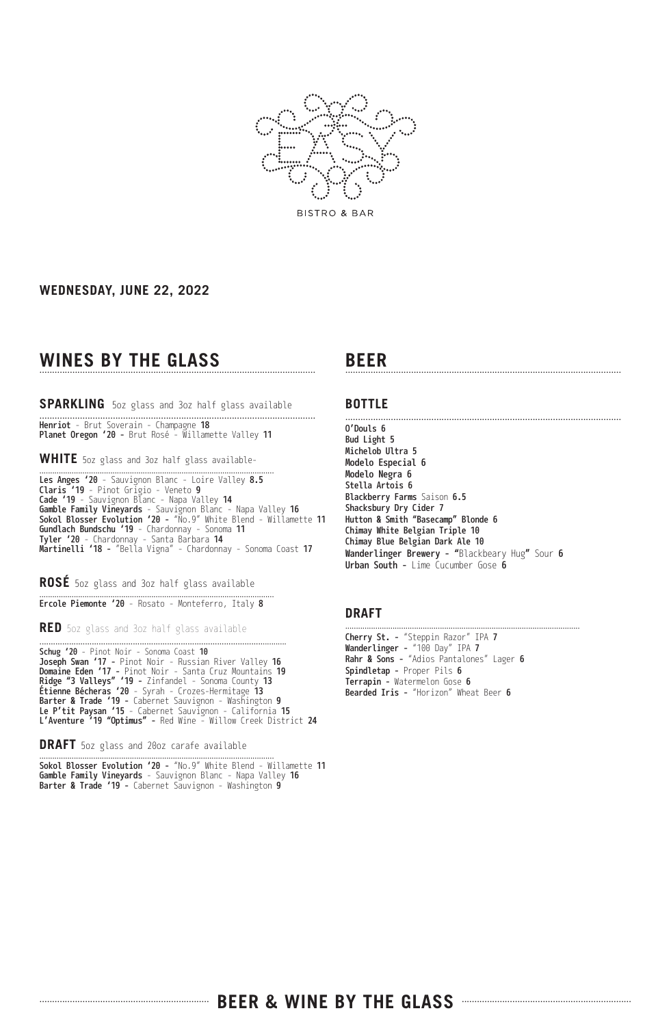

#### **WEDNESDAY, JUNE 22, 2022**

# WINES BY THE GLASS

### SPARKLING 50z glass and 30z half glass available

**Henriot** - Brut Soverain - Champagne **18** Planet Oregon '20 - Brut Rosé - Willamette Valley 11

**WHITE** 5oz glass and 3oz half glass available-

............................................................................................................. Les Anges '20 - Sauvignon Blanc - Loire Valley 8.5 Claris '19 - Pinot Grigio - Veneto 9 Cade '19 - Sauvignon Blanc - Napa Valley 14 **Gamble Family Vineyards** - Sauvignon Blanc - Napa Valley **16** Sokol Blosser Evolution '20 - "No.9" White Blend - Willamette 11 Gundlach Bundschu '19 - Chardonnay - Sonoma 11 Tyler '20 - Chardonnay - Santa Barbara 14 **Martinelli '18 -** "Bella Vigna" - Chardonnay - Sonoma Coast **17** 

**ROSÉ** 5oz glass and 3oz half glass available

............................................................................................................. Ercole Piemonte '20 - Rosato - Monteferro, Italy 8

.............................................................................................................

**RED** 5oz glass and 3oz half glass available

Schug '20 - Pinot Noir - Sonoma Coast 10 Joseph Swan '17 - Pinot Noir - Russian River Valley 16 Domaine Eden '17 - Pinot Noir - Santa Cruz Mountains 19 **Ridge "3 Valleys" '19 -** Zinfandel - Sonoma County **13 Etienne Bécheras '20** - Syrah - Crozes-Hermitage **13** Barter & Trade '19 - Cabernet Sauvignon - Washington 9 Le P'tit Paysan '15 - Cabernet Sauvignon - California 15 L'Aventure '19 "Optimus" - Red Wine - Willow Creek District 24

**DRAFT** 5oz glass and 20oz carafe available

............................................................................................................. Sokol Blosser Evolution '20 - "No.9" White Blend - Willamette 11 **Gamble Family Vineyards** - Sauvignon Blanc - Napa Valley **16** Barter & Trade '19 - Cabernet Sauvignon - Washington 9

# **BEER** .............................................................................................................

#### **BOTTLE**

............................................................................................................. O'Douls 6 Bud Light 5 Michelob Ultra 5 Modelo Especial 6 Modelo Negra 6 Stella Artois 6 Blackberry Farms Saison 6.5 Shacksbury Dry Cider 7 Hutton & Smith "Basecamp" Blonde 6 Chimay White Belgian Triple 10 Chimay Blue Belgian Dark Ale 10 **Wanderlinger Brewery - "**Blackbeary Hug**"** Sour **6** Urban South - Lime Cucumber Gose 6

#### **DRAFT**

Cherry St. - "Steppin Razor" IPA 7 Wanderlinger - "100 Day" IPA 7 Rahr & Sons - "Adios Pantalones" Lager 6 Spindletap - Proper Pils 6 Terrapin - Watermelon Gose 6 Bearded Iris - "Horizon" Wheat Beer 6

.............................................................................................................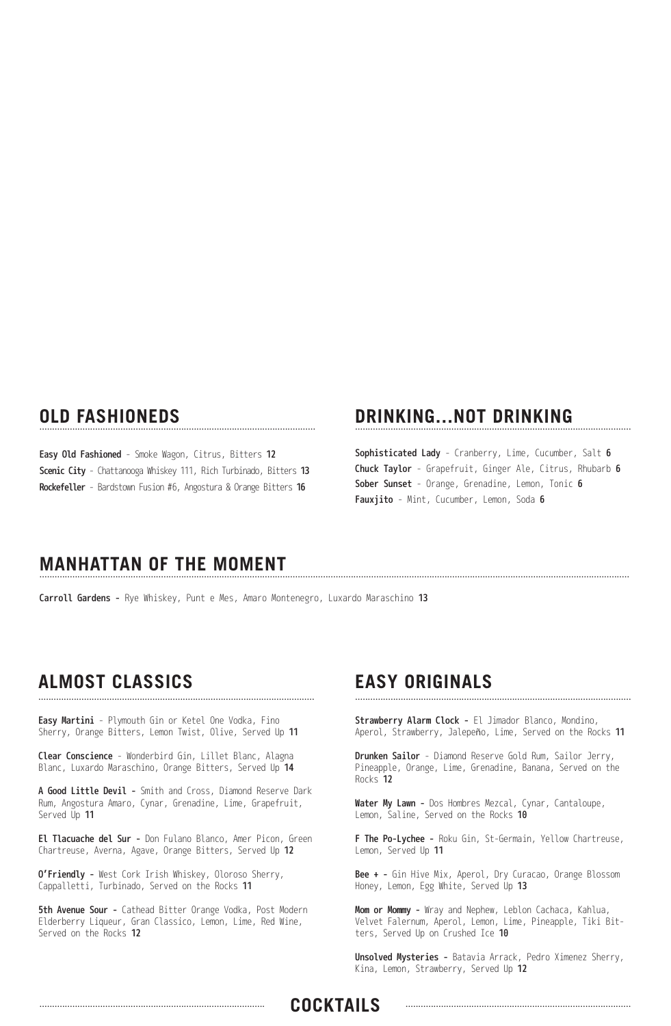## **OLD FASHIONEDS**

Easy Old Fashioned - Smoke Wagon, Citrus, Bitters 12 Scenic City - Chattanooga Whiskey 111, Rich Turbinado, Bitters 13 Rockefeller - Bardstown Fusion #6, Angostura & Orange Bitters 16

## **DRINKING...NOT DRINKING**

Sophisticated Lady - Cranberry, Lime, Cucumber, Salt 6 Chuck Taylor - Grapefruit, Ginger Ale, Citrus, Rhubarb 6 Sober Sunset - Orange, Grenadine, Lemon, Tonic 6 Fauxjito - Mint, Cucumber, Lemon, Soda 6

## **MANHATTAN OF THE MOMENT**

Carroll Gardens - Rye Whiskey, Punt e Mes, Amaro Montenegro, Luxardo Maraschino 13

#### **ALMOST CLASSICS** .............................................................................................................

Easy Martini - Plymouth Gin or Ketel One Vodka, Fino Sherry, Orange Bitters, Lemon Twist, Olive, Served Up 11

Clear Conscience - Wonderbird Gin, Lillet Blanc, Alagna Blanc, Luxardo Maraschino, Orange Bitters, Served Up 14

A Good Little Devil - Smith and Cross, Diamond Reserve Dark Rum, Angostura Amaro, Cynar, Grenadine, Lime, Grapefruit, Served Up 11

El Tlacuache del Sur - Don Fulano Blanco, Amer Picon, Green Chartreuse, Averna, Agave, Orange Bitters, Served Up 12

O'Friendly - West Cork Irish Whiskey, Oloroso Sherry, Cappalletti, Turbinado, Served on the Rocks 11

5th Avenue Sour - Cathead Bitter Orange Vodka, Post Modern Elderberry Liqueur, Gran Classico, Lemon, Lime, Red Wine, Served on the Rocks 12

### **EASY ORIGINALS** .............................................................................................................

Strawberry Alarm Clock - El Jimador Blanco, Mondino, Aperol, Strawberry, Jalepeño, Lime, Served on the Rocks 11

Drunken Sailor - Diamond Reserve Gold Rum, Sailor Jerry, Pineapple, Orange, Lime, Grenadine, Banana, Served on the Rocks 12

Water My Lawn - Dos Hombres Mezcal, Cynar, Cantaloupe, Lemon, Saline, Served on the Rocks 10

F The Po-Lychee - Roku Gin, St-Germain, Yellow Chartreuse, Lemon, Served Up 11

Bee + - Gin Hive Mix, Aperol, Dry Curacao, Orange Blossom Honey, Lemon, Egg White, Served Up 13

Mom or Mommy - Wray and Nephew, Leblon Cachaca, Kahlua, Velvet Falernum, Aperol, Lemon, Lime, Pineapple, Tiki Bitters, Served Up on Crushed Ice 10

Unsolved Mysteries - Batavia Arrack, Pedro Ximenez Sherry, Kina, Lemon, Strawberry, Served Up 12

### ......................................................................................... **COCKTAILS** .........................................................................................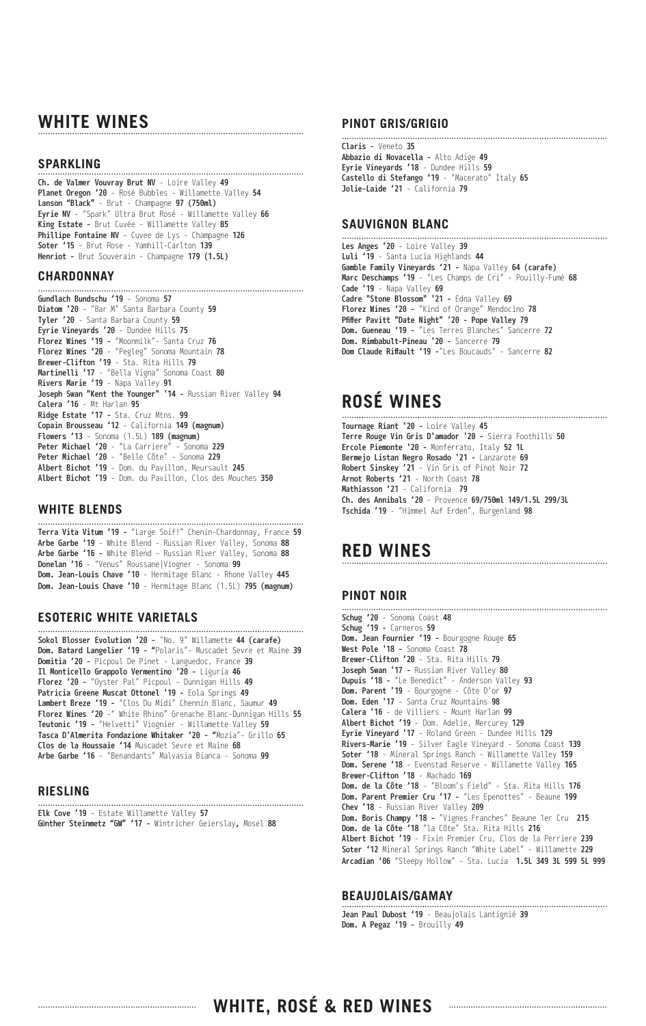# WHITE WINES

#### **SPARKLING** .............................................................................................................

Ch. de Valmer Vouvray Brut NV - Loire Valley 49 Planet Oregon '20 - Rosé Bubbles - Willamette Valley 54 Lanson "Black" - Brut - Champagne 97 (750ml) Eyrie NV - "Spark" Ultra Brut Rosé - Willamette Valley 66 King Estate - Brut Cuvée - Willamette Valley 85 Phillipe Fontaine NV - Cuvee de Lys - Champagne 126 Soter '15 - Brut Rose - Yamhill-Carlton 139 Henriot - Brut Souverain - Champagne 179 (1.5L)

.............................................................................................................

#### **CHARDONNAY**

Gundlach Bundschu '19 - Sonoma 57 Diatom '20 - "Bar M" Santa Barbara County 59 Tyler '20 - Santa Barbara County 59 Eyrie Vineyards '20 - Dundee Hills 75 Florez Wines '19 - "Moonmilk"- Santa Cruz 76 Florez Wines '20 - "Pegleg" Sonoma Mountain 78 Brewer-Clifton '19 - Sta. Rita Hills 79 Martinelli '17 - "Bella Vigna" Sonoma Coast 80 **Rivers Marie '19** - Napa Valley **91 Joseph Swan "Kent the Younger" '14 -** Russian River Valley **94** Calera '16 - Mt Harlan 95 Ridge Estate '17 - Sta. Cruz Mtns. 99 Copain Brousseau '12 - California 149 (magnum) Flowers '13 - Sonoma (1.5L) 189 (magnum) Peter Michael '20 - "La Carriere" - Sonoma 229 Peter Michael '20 - "Belle Côte" - Sonoma 229 Albert Bichot '19 - Dom. du Pavillon, Meursault 245 Albert Bichot '19 - Dom. du Pavillon, Clos des Mouches 350

#### **WHITE BLENDS**

............................................................................................................. Terra Vita Vitum '19 - "Large Soif!" Chenin-Chardonnay, France 59 Arbe Garbe '19 - White Blend - Russian River Valley, Sonoma 88 Arbe Garbe '16 - White Blend - Russian River Valley, Sonoma 88 Donelan '16 - "Venus" Roussane|Viogner - Sonoma 99 Dom. Jean-Louis Chave '10 - Hermitage Blanc - Rhone Valley 445 Dom. Jean-Louis Chave '10 - Hermitage Blanc (1.5L) 795 (magnum)

#### **ESOTERIC WHITE VARIETALS**

Sokol Blosser Evolution '20 - "No. 9" Willamette 44 (carafe) Dom. Batard Langelier '19 - "Polaris"- Muscadet Sevre et Maine 39 Domitia '20 - Picpoul De Pinet - Languedoc, France 39 Il Monticello Grappolo Vermentino '20 - Liguria 46 Florez '20 - "Oyster Pal" Picpoul - Dunnigan Hills 49 Patricia Greene Muscat Ottonel '19 - Eola Springs 49 Lambert Breze '19 - "Clos Du Midi" Chennin Blanc, Saumur 49 Florez Wines '20 -" White Rhino" Grenache Blanc-Dunnigan Hills 55 Teutonic '19 - "Helvetti" Viognier - Willamette Valley 59 Tasca D'Almerita Fondazione Whitaker '20 - "Mozia"- Grillo 65 Clos de la Houssaie '14 Muscadet Sevre et Maine 68 Arbe Garbe '16 - "Benandants" Malvasia Bianca - Sonoma 99

.............................................................................................................

#### **RIESLING**

Elk Cove '19 - Estate Willamette Valley 57 **Günther Steinmetz "GW" '17 -** Wintricher Geierslay, Mosel **88** 

.............................................................................................................

#### **PINOT GRIS/GRIGIO**

............................................................................................................. Claris - Veneto 35 Abbazio di Novacella - Alto Adige 49 Eyrie Vineyards '18 - Dundee Hills 59 Castello di Stefango '19 - "Macerato" Italy 65 Jolie-Laide '21 - California 79

#### **SAUVIGNON BLANC**

Les Anges '20 - Loire Valley 39 Luli '19 - Santa Lucia Highlands 44 Gamble Family Vineyards '21 - Napa Valley 64 (carafe) Marc Deschamps '19 - "Les Champs de Cri" - Pouilly-Fumé 68 **Cade '19** - Napa Valley **69** Cadre "Stone Blossom" '21 - Edna Valley 69 Florez Wines '20 - "Kind of Orange" Mendocino 78 Pfiffer Pavitt "Date Night" '20 - Pope Valley 79 Dom. Gueneau '19 - "Les Terres Blanches" Sancerre 72 Dom. Rimbabult-Pineau '20 - Sancerre 79 Dom Claude Riffault '19 -"Les Boucauds" - Sancerre 82

.............................................................................................................

# **ROSÉ WINES**

............................................................................................................. Tournage Riant '20 - Loire Valley 45 Terre Rouge Vin Gris D'amador '20 - Sierra Foothills 50 Ercole Piemonte '20 - Monferrato, Italy 52 1L Bermejo Listan Negro Rosado '21 - Lanzarote 69 Robert Sinskey '21 - Vin Gris of Pinot Noir 72 Arnot Roberts '21 - North Coast 78 Mathiasson '21 - California 79 Ch. des Annibals '20 - Provence 69/750ml 149/1.5L 299/3L Tschida '19 - "Himmel Auf Erden", Burgenland 98

### RED WINES

#### **PINOT NOIR**

Schug '20 - Sonoma Coast 48 Schug '19 - Carneros 59 Dom. Jean Fournier '19 - Bourgogne Rouge 65 West Pole '18 - Sonoma Coast 78 Brewer-Clifton '20 - Sta. Rita Hills 79 Joseph Swan '17 - Russian River Valley 80 Dupuis '18 - "Le Benedict" - Anderson Valley 93 Dom. Parent '19 - Bourgogne - Côte D'or 97 Dom. Eden '17 - Santa Cruz Mountains 98 Calera '16 - de Villiers - Mount Harlan 99 Albert Bichot '19 - Dom. Adelie, Mercurey 129 Evrie Vinevard '17 - Roland Green - Dundee Hills 129 Rivers-Marie '19 - Silver Eagle Vineyard - Sonoma Coast 139 Soter '18 - Mineral Springs Ranch - Willamette Valley 159 Dom. Serene '18 - Evenstad Reserve - Willamette Valley 165 Brewer-Clifton '18 - Machado 169 Dom. de la Côte '18 - "Bloom's Field" - Sta. Rita Hills 176 Dom. Parent Premier Cru '17 - "Les Epenottes" - Beaune 199 Chev '18 - Russian River Valley 209 **Dom. Boris Champy '18 -** "Vignes Franches" Beaune 1er Cru **215** Dom. de la Côte '18 "la Côte" Sta. Rita Hills 216 Albert Bichot '19 - Fixin Premier Cru, Clos de la Perriere 239 Soter '12 Mineral Springs Ranch "White Label" - Willamette 229 Arcadian '06 "Sleepy Hollow" - Sta. Lucia 1.5L 349 3L 599 5L 999

.............................................................................................................

#### **BEAUJOLAIS/GAMAY** .............................................................................................................

Jean Paul Dubost '19 - Beaujolais Lantignié 39 Dom. A Pegaz '19 - Brouilly 49

# ................................................................. **WHITE, ROSÉ & RED WINES** .................................................................